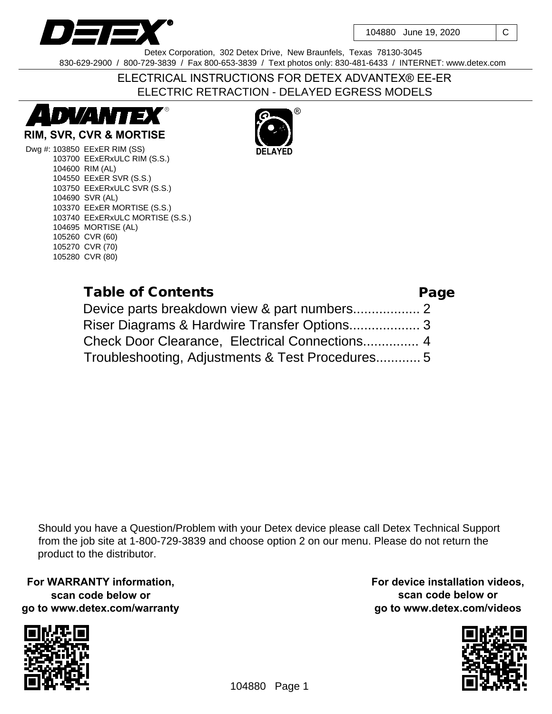

104880 June 19, 2020 | C

Detex Corporation, 302 Detex Drive, New Braunfels, Texas 78130-3045 830-629-2900 / 800-729-3839 / Fax 800-653-3839 / Text photos only: 830-481-6433 / INTERNET: www.detex.com

# ELECTRICAL INSTRUCTIONS FOR DETEX ADVANTEX® EE-ER ELECTRIC RETRACTION - DELAYED EGRESS MODELS



### **RIM, SVR, CVR & MORTISE**

Dwg #: 103850 EExER RIM (SS) 103700 EExERxULC RIM (S.S.) 104600 RIM (AL) 104550 EExER SVR (S.S.) 103750 EExERxULC SVR (S.S.) 104690 SVR (AL) 103370 EExER MORTISE (S.S.) 103740 EExERxULC MORTISE (S.S.) 104695 MORTISE (AL) 105260 CVR (60) 105270 CVR (70) 105280 CVR (80)

R)



| Table of Contents                               | Page |
|-------------------------------------------------|------|
|                                                 |      |
|                                                 |      |
|                                                 |      |
| Troubleshooting, Adjustments & Test Procedures5 |      |

Should you have a Question/Problem with your Detex device please call Detex Technical Support from the job site at 1-800-729-3839 and choose option 2 on our menu. Please do not return the product to the distributor.

**For WARRANTY information, scan code below or go to www.detex.com/warranty**



**For device installation videos, scan code below or go to www.detex.com/videos**

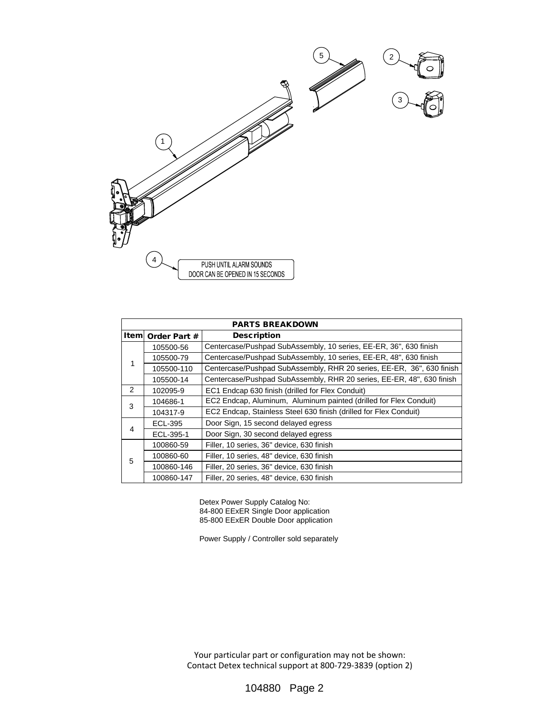

| PARTS BREAKDOWN |                    |                                                                       |  |  |
|-----------------|--------------------|-----------------------------------------------------------------------|--|--|
|                 | Item  Order Part # | Description                                                           |  |  |
| 1               | 105500-56          | Centercase/Pushpad SubAssembly, 10 series, EE-ER, 36", 630 finish     |  |  |
|                 | 105500-79          | Centercase/Pushpad SubAssembly, 10 series, EE-ER, 48", 630 finish     |  |  |
|                 | 105500-110         | Centercase/Pushpad SubAssembly, RHR 20 series, EE-ER, 36", 630 finish |  |  |
|                 | 105500-14          | Centercase/Pushpad SubAssembly, RHR 20 series, EE-ER, 48", 630 finish |  |  |
| 2               | 102095-9           | EC1 Endcap 630 finish (drilled for Flex Conduit)                      |  |  |
| 3               | 104686-1           | EC2 Endcap, Aluminum, Aluminum painted (drilled for Flex Conduit)     |  |  |
|                 | 104317-9           | EC2 Endcap, Stainless Steel 630 finish (drilled for Flex Conduit)     |  |  |
| 4               | ECL-395            | Door Sign, 15 second delayed egress                                   |  |  |
|                 | ECL-395-1          | Door Sign, 30 second delayed egress                                   |  |  |
| 5               | 100860-59          | Filler, 10 series, 36" device, 630 finish                             |  |  |
|                 | 100860-60          | Filler, 10 series, 48" device, 630 finish                             |  |  |
|                 | 100860-146         | Filler, 20 series, 36" device, 630 finish                             |  |  |
|                 | 100860-147         | Filler, 20 series, 48" device, 630 finish                             |  |  |

Detex Power Supply Catalog No: 84-800 EExER Single Door application 85-800 EExER Double Door application

Power Supply / Controller sold separately

Your particular part or configuration may not be shown: Contact Detex technical support at 800-729-3839 (option 2)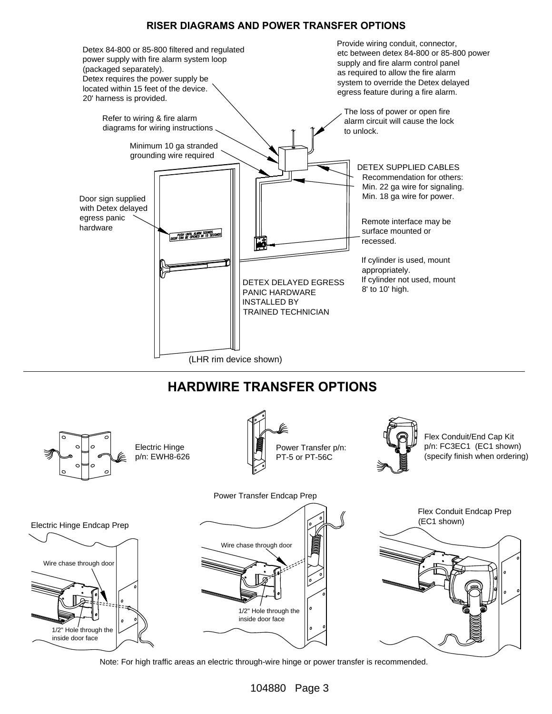#### **RISER DIAGRAMS AND POWER TRANSFER OPTIONS**



# **HARDWIRE TRANSFER OPTIONS**



Note: For high traffic areas an electric through-wire hinge or power transfer is recommended.

104880 Page 3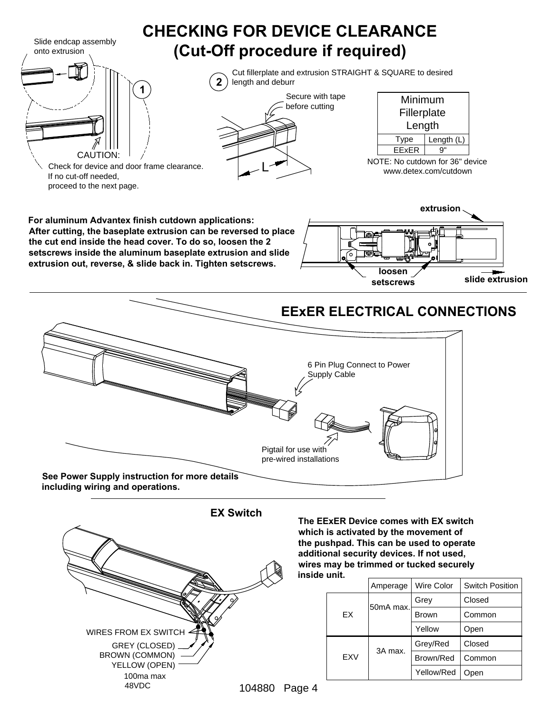

104880 Page 4

Yellow/Red

Open

100ma max 48VDC